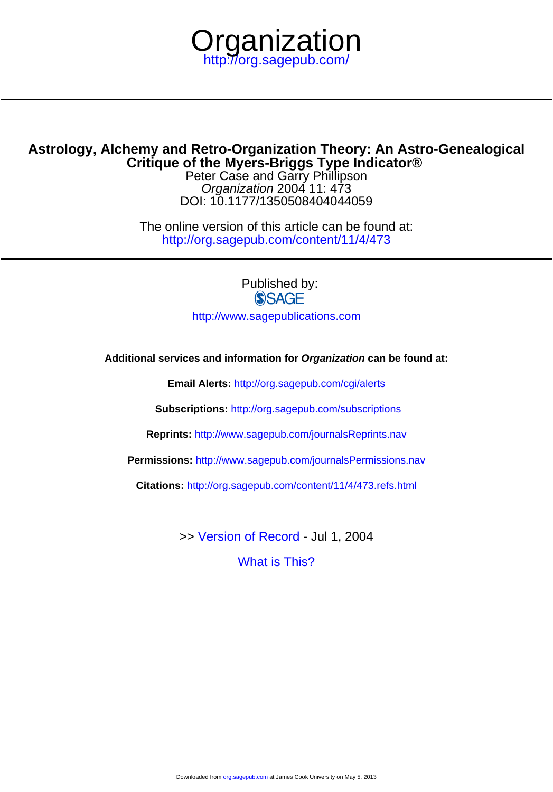

## **Critique of the Myers-Briggs Type Indicator® Astrology, Alchemy and Retro-Organization Theory: An Astro-Genealogical**

DOI: 10.1177/1350508404044059 Organization 2004 11: 473 Peter Case and Garry Phillipson

<http://org.sagepub.com/content/11/4/473> The online version of this article can be found at:

> Published by:<br>
> SAGE <http://www.sagepublications.com>

**Additional services and information for Organization can be found at:**

**Email Alerts:** <http://org.sagepub.com/cgi/alerts>

**Subscriptions:** <http://org.sagepub.com/subscriptions>

**Reprints:** <http://www.sagepub.com/journalsReprints.nav>

**Permissions:** <http://www.sagepub.com/journalsPermissions.nav>

**Citations:** <http://org.sagepub.com/content/11/4/473.refs.html>

>> [Version of Record -](http://org.sagepub.com/content/11/4/473.full.pdf) Jul 1, 2004

[What is This?](http://online.sagepub.com/site/sphelp/vorhelp.xhtml)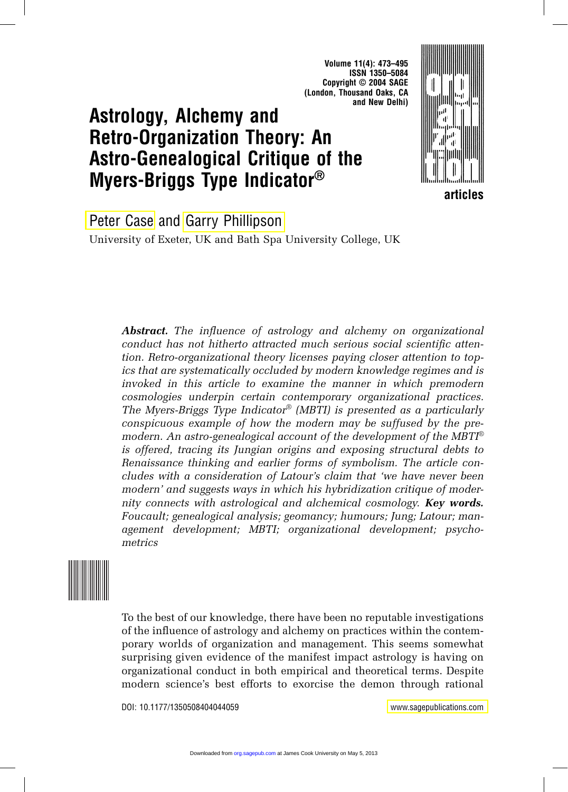Downloaded from [org.sagepub.com](http://org.sagepub.com/) at James Cook University on May 5, 2013

**Volume 11(4): 473–495 ISSN 1350–5084 Copyright © 2004 SAGE (London, Thousand Oaks, CA and New Delhi)**

# **Astrology, Alchemy and Retro-Organization Theory: An Astro-Genealogical Critique of the Myers-Briggs Type Indicator®**

*Abstract. The influence of astrology and alchemy on organizational conduct has not hitherto attracted much serious social scientific attention. Retro-organizational theory licenses paying closer attention to topics that are systematically occluded by modern knowledge regimes and is invoked in this article to examine the manner in which premodern cosmologies underpin certain contemporary organizational practices. The Myers-Briggs Type Indicator® (MBTI) is presented as a particularly conspicuous example of how the modern may be suffused by the premodern. An astro-genealogical account of the development of the MBTI® is offered, tracing its Jungian origins and exposing structural debts to Renaissance thinking and earlier forms of symbolism. The article concludes with a consideration of Latour's claim that 'we have never been modern' and suggests ways in which his hybridization critique of modernity connects with astrological and alchemical cosmology. Key words. Foucault; genealogical analysis; geomancy; humours; Jung; Latour; management development; MBTI; organizational development; psychometrics*

[Peter Case](#page-23-0) and [Garry Phillipson](#page-23-0) University of Exeter, UK and Bath Spa University College, UK

To the best of our knowledge, there have been no reputable investigations of the influence of astrology and alchemy on practices within the contemporary worlds of organization and management. This seems somewhat surprising given evidence of the manifest impact astrology is having on organizational conduct in both empirical and theoretical terms. Despite modern science's best efforts to exorcise the demon through rational

DOI: 10.1177/1350508404044059<www.sagepublications.com>



**articles**

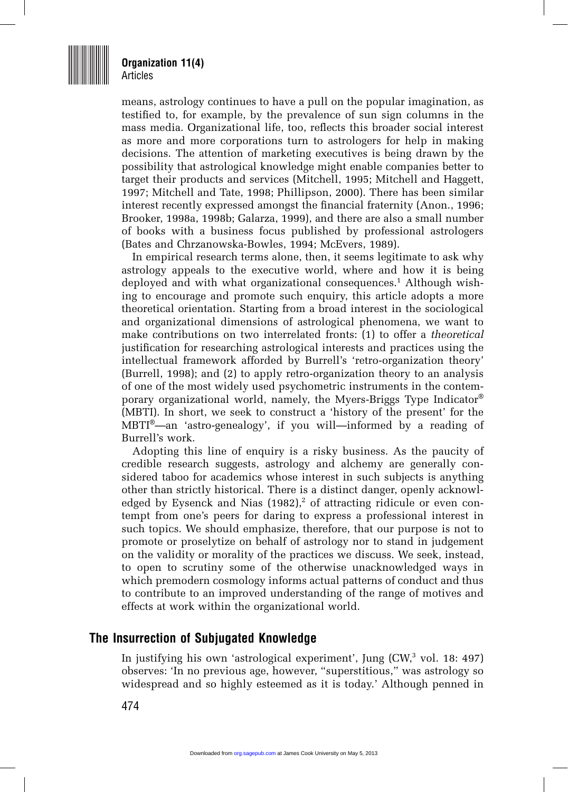

means, astrology continues to have a pull on the popular imagination, as testified to, for example, by the prevalence of sun sign columns in the mass media. Organizational life, too, reflects this broader social interest as more and more corporations turn to astrologers for help in making decisions. The attention of marketing executives is being drawn by the possibility that astrological knowledge might enable companies better to target their products and services (Mitchell, 1995; Mitchell and Haggett, 1997; Mitchell and Tate, 1998; Phillipson, 2000). There has been similar interest recently expressed amongst the financial fraternity (Anon., 1996; Brooker, 1998a, 1998b; Galarza, 1999), and there are also a small number of books with a business focus published by professional astrologers (Bates and Chrzanowska-Bowles, 1994; McEvers, 1989).

In empirical research terms alone, then, it seems legitimate to ask why astrology appeals to the executive world, where and how it is being deployed and with what organizational consequences.<sup>1</sup> Although wishing to encourage and promote such enquiry, this article adopts a more theoretical orientation. Starting from a broad interest in the sociological and organizational dimensions of astrological phenomena, we want to make contributions on two interrelated fronts: (1) to offer a *theoretical* justification for researching astrological interests and practices using the intellectual framework afforded by Burrell's 'retro-organization theory' (Burrell, 1998); and (2) to apply retro-organization theory to an analysis of one of the most widely used psychometric instruments in the contemporary organizational world, namely, the Myers-Briggs Type Indicator® (MBTI). In short, we seek to construct a 'history of the present' for the MBTI®—an 'astro-genealogy', if you will—informed by a reading of Burrell's work.

Adopting this line of enquiry is a risky business. As the paucity of credible research suggests, astrology and alchemy are generally considered taboo for academics whose interest in such subjects is anything other than strictly historical. There is a distinct danger, openly acknowledged by Eysenck and Nias  $(1982)<sup>2</sup>$  of attracting ridicule or even contempt from one's peers for daring to express a professional interest in such topics. We should emphasize, therefore, that our purpose is not to promote or proselytize on behalf of astrology nor to stand in judgement on the validity or morality of the practices we discuss. We seek, instead, to open to scrutiny some of the otherwise unacknowledged ways in which premodern cosmology informs actual patterns of conduct and thus to contribute to an improved understanding of the range of motives and effects at work within the organizational world.

## **The Insurrection of Subjugated Knowledge**

In justifying his own 'astrological experiment', Jung  $(CW, 3 \text{ vol. } 18: 497)$ observes: 'In no previous age, however, "superstitious," was astrology so widespread and so highly esteemed as it is today.' Although penned in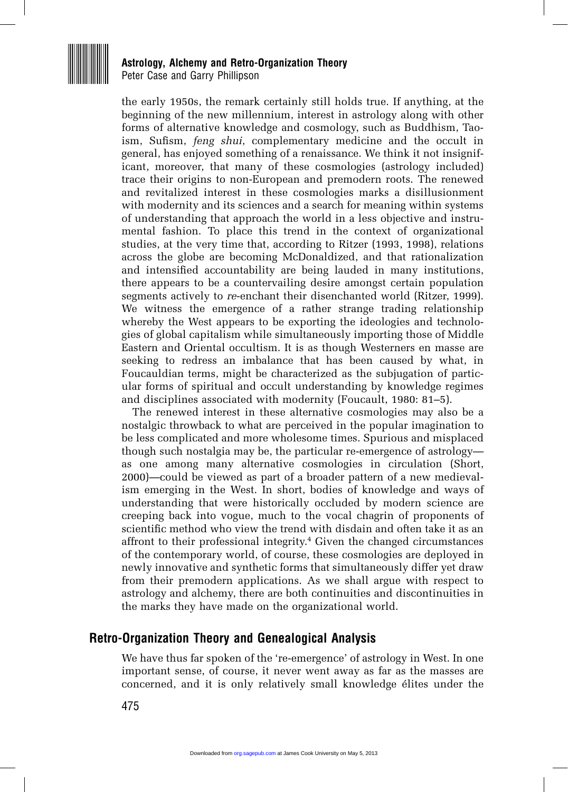

Peter Case and Garry Phillipson

the early 1950s, the remark certainly still holds true. If anything, at the beginning of the new millennium, interest in astrology along with other forms of alternative knowledge and cosmology, such as Buddhism, Taoism, Sufism, *feng shui*, complementary medicine and the occult in general, has enjoyed something of a renaissance. We think it not insignificant, moreover, that many of these cosmologies (astrology included) trace their origins to non-European and premodern roots. The renewed and revitalized interest in these cosmologies marks a disillusionment with modernity and its sciences and a search for meaning within systems of understanding that approach the world in a less objective and instrumental fashion. To place this trend in the context of organizational studies, at the very time that, according to Ritzer (1993, 1998), relations across the globe are becoming McDonaldized, and that rationalization and intensified accountability are being lauded in many institutions, there appears to be a countervailing desire amongst certain population segments actively to *re*-enchant their disenchanted world (Ritzer, 1999). We witness the emergence of a rather strange trading relationship whereby the West appears to be exporting the ideologies and technologies of global capitalism while simultaneously importing those of Middle Eastern and Oriental occultism. It is as though Westerners en masse are seeking to redress an imbalance that has been caused by what, in Foucauldian terms, might be characterized as the subjugation of particular forms of spiritual and occult understanding by knowledge regimes and disciplines associated with modernity (Foucault, 1980: 81–5).

The renewed interest in these alternative cosmologies may also be a nostalgic throwback to what are perceived in the popular imagination to be less complicated and more wholesome times. Spurious and misplaced though such nostalgia may be, the particular re-emergence of astrology as one among many alternative cosmologies in circulation (Short, 2000)—could be viewed as part of a broader pattern of a new medievalism emerging in the West. In short, bodies of knowledge and ways of understanding that were historically occluded by modern science are creeping back into vogue, much to the vocal chagrin of proponents of scientific method who view the trend with disdain and often take it as an affront to their professional integrity. $4$  Given the changed circumstances of the contemporary world, of course, these cosmologies are deployed in newly innovative and synthetic forms that simultaneously differ yet draw from their premodern applications. As we shall argue with respect to astrology and alchemy, there are both continuities and discontinuities in the marks they have made on the organizational world.

## **Retro-Organization Theory and Genealogical Analysis**

We have thus far spoken of the 're-emergence' of astrology in West. In one important sense, of course, it never went away as far as the masses are concerned, and it is only relatively small knowledge élites under the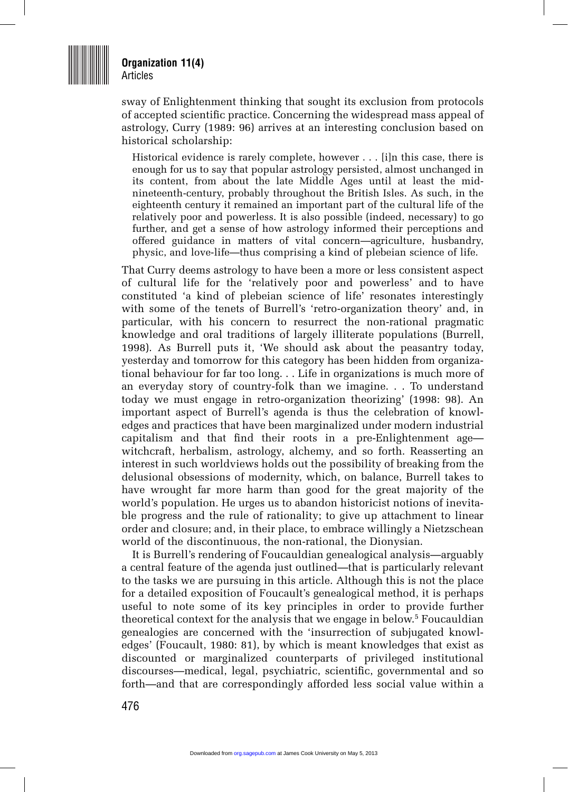

sway of Enlightenment thinking that sought its exclusion from protocols of accepted scientific practice. Concerning the widespread mass appeal of astrology, Curry (1989: 96) arrives at an interesting conclusion based on historical scholarship:

Historical evidence is rarely complete, however . . . [i]n this case, there is enough for us to say that popular astrology persisted, almost unchanged in its content, from about the late Middle Ages until at least the midnineteenth-century, probably throughout the British Isles. As such, in the eighteenth century it remained an important part of the cultural life of the relatively poor and powerless. It is also possible (indeed, necessary) to go further, and get a sense of how astrology informed their perceptions and offered guidance in matters of vital concern—agriculture, husbandry, physic, and love-life—thus comprising a kind of plebeian science of life.

That Curry deems astrology to have been a more or less consistent aspect of cultural life for the 'relatively poor and powerless' and to have constituted 'a kind of plebeian science of life' resonates interestingly with some of the tenets of Burrell's 'retro-organization theory' and, in particular, with his concern to resurrect the non-rational pragmatic knowledge and oral traditions of largely illiterate populations (Burrell, 1998). As Burrell puts it, 'We should ask about the peasantry today, yesterday and tomorrow for this category has been hidden from organizational behaviour for far too long. . . Life in organizations is much more of an everyday story of country-folk than we imagine. . . To understand today we must engage in retro-organization theorizing' (1998: 98). An important aspect of Burrell's agenda is thus the celebration of knowledges and practices that have been marginalized under modern industrial capitalism and that find their roots in a pre-Enlightenment age witchcraft, herbalism, astrology, alchemy, and so forth. Reasserting an interest in such worldviews holds out the possibility of breaking from the delusional obsessions of modernity, which, on balance, Burrell takes to have wrought far more harm than good for the great majority of the world's population. He urges us to abandon historicist notions of inevitable progress and the rule of rationality; to give up attachment to linear order and closure; and, in their place, to embrace willingly a Nietzschean world of the discontinuous, the non-rational, the Dionysian.

It is Burrell's rendering of Foucauldian genealogical analysis—arguably a central feature of the agenda just outlined—that is particularly relevant to the tasks we are pursuing in this article. Although this is not the place for a detailed exposition of Foucault's genealogical method, it is perhaps useful to note some of its key principles in order to provide further theoretical context for the analysis that we engage in below.<sup>5</sup> Foucauldian genealogies are concerned with the 'insurrection of subjugated knowledges' (Foucault, 1980: 81), by which is meant knowledges that exist as discounted or marginalized counterparts of privileged institutional discourses—medical, legal, psychiatric, scientific, governmental and so forth—and that are correspondingly afforded less social value within a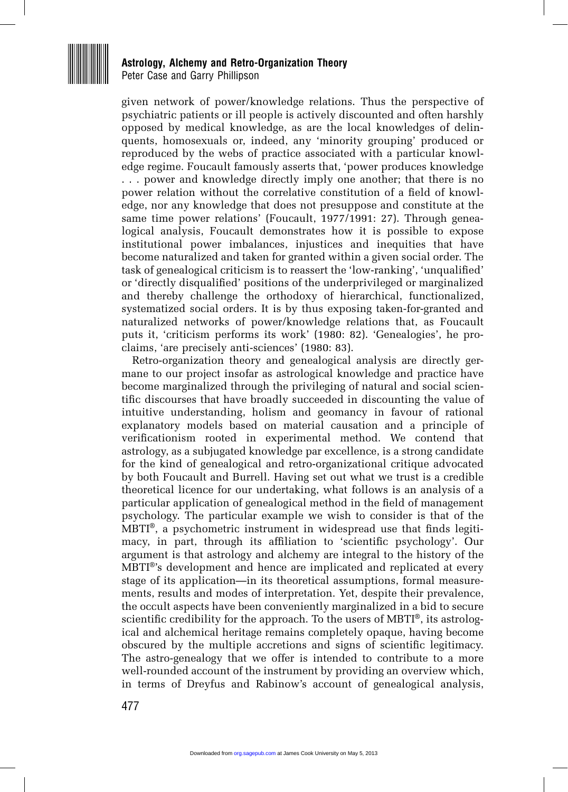

Peter Case and Garry Phillipson

given network of power/knowledge relations. Thus the perspective of psychiatric patients or ill people is actively discounted and often harshly opposed by medical knowledge, as are the local knowledges of delinquents, homosexuals or, indeed, any 'minority grouping' produced or reproduced by the webs of practice associated with a particular knowledge regime. Foucault famously asserts that, 'power produces knowledge . . . power and knowledge directly imply one another; that there is no power relation without the correlative constitution of a field of knowledge, nor any knowledge that does not presuppose and constitute at the same time power relations' (Foucault, 1977/1991: 27). Through genealogical analysis, Foucault demonstrates how it is possible to expose institutional power imbalances, injustices and inequities that have become naturalized and taken for granted within a given social order. The task of genealogical criticism is to reassert the 'low-ranking', 'unqualified' or 'directly disqualified' positions of the underprivileged or marginalized and thereby challenge the orthodoxy of hierarchical, functionalized, systematized social orders. It is by thus exposing taken-for-granted and naturalized networks of power/knowledge relations that, as Foucault puts it, 'criticism performs its work' (1980: 82). 'Genealogies', he proclaims, 'are precisely anti-sciences' (1980: 83).

Retro-organization theory and genealogical analysis are directly germane to our project insofar as astrological knowledge and practice have become marginalized through the privileging of natural and social scientific discourses that have broadly succeeded in discounting the value of intuitive understanding, holism and geomancy in favour of rational explanatory models based on material causation and a principle of verificationism rooted in experimental method. We contend that astrology, as a subjugated knowledge par excellence, is a strong candidate for the kind of genealogical and retro-organizational critique advocated by both Foucault and Burrell. Having set out what we trust is a credible theoretical licence for our undertaking, what follows is an analysis of a particular application of genealogical method in the field of management psychology. The particular example we wish to consider is that of the MBTI®, a psychometric instrument in widespread use that finds legitimacy, in part, through its affiliation to 'scientific psychology'. Our argument is that astrology and alchemy are integral to the history of the MBTI®'s development and hence are implicated and replicated at every stage of its application—in its theoretical assumptions, formal measurements, results and modes of interpretation. Yet, despite their prevalence, the occult aspects have been conveniently marginalized in a bid to secure scientific credibility for the approach. To the users of MBTI®, its astrological and alchemical heritage remains completely opaque, having become obscured by the multiple accretions and signs of scientific legitimacy. The astro-genealogy that we offer is intended to contribute to a more well-rounded account of the instrument by providing an overview which, in terms of Dreyfus and Rabinow's account of genealogical analysis,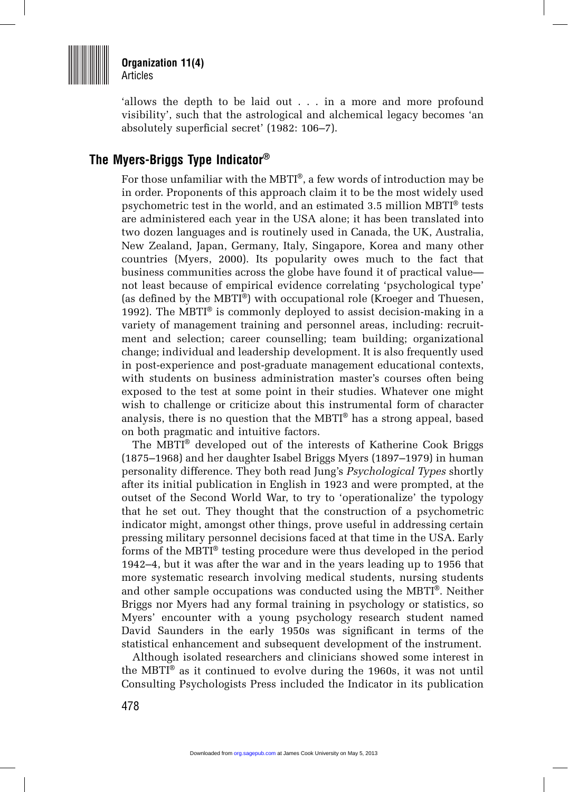

'allows the depth to be laid out . . . in a more and more profound visibility', such that the astrological and alchemical legacy becomes 'an absolutely superficial secret' (1982: 106–7).

## **The Myers-Briggs Type Indicator®**

For those unfamiliar with the MBTI®, a few words of introduction may be in order. Proponents of this approach claim it to be the most widely used psychometric test in the world, and an estimated 3.5 million MBTI® tests are administered each year in the USA alone; it has been translated into two dozen languages and is routinely used in Canada, the UK, Australia, New Zealand, Japan, Germany, Italy, Singapore, Korea and many other countries (Myers, 2000). Its popularity owes much to the fact that business communities across the globe have found it of practical value not least because of empirical evidence correlating 'psychological type' (as defined by the MBTI®) with occupational role (Kroeger and Thuesen, 1992). The MBTI® is commonly deployed to assist decision-making in a variety of management training and personnel areas, including: recruitment and selection; career counselling; team building; organizational change; individual and leadership development. It is also frequently used in post-experience and post-graduate management educational contexts, with students on business administration master's courses often being exposed to the test at some point in their studies. Whatever one might wish to challenge or criticize about this instrumental form of character analysis, there is no question that the MBTI® has a strong appeal, based on both pragmatic and intuitive factors.

The MBTI® developed out of the interests of Katherine Cook Briggs (1875–1968) and her daughter Isabel Briggs Myers (1897–1979) in human personality difference. They both read Jung's *Psychological Types* shortly after its initial publication in English in 1923 and were prompted, at the outset of the Second World War, to try to 'operationalize' the typology that he set out. They thought that the construction of a psychometric indicator might, amongst other things, prove useful in addressing certain pressing military personnel decisions faced at that time in the USA. Early forms of the MBTI® testing procedure were thus developed in the period 1942–4, but it was after the war and in the years leading up to 1956 that more systematic research involving medical students, nursing students and other sample occupations was conducted using the MBTI®. Neither Briggs nor Myers had any formal training in psychology or statistics, so Myers' encounter with a young psychology research student named David Saunders in the early 1950s was significant in terms of the statistical enhancement and subsequent development of the instrument.

Although isolated researchers and clinicians showed some interest in the MBTI® as it continued to evolve during the 1960s, it was not until Consulting Psychologists Press included the Indicator in its publication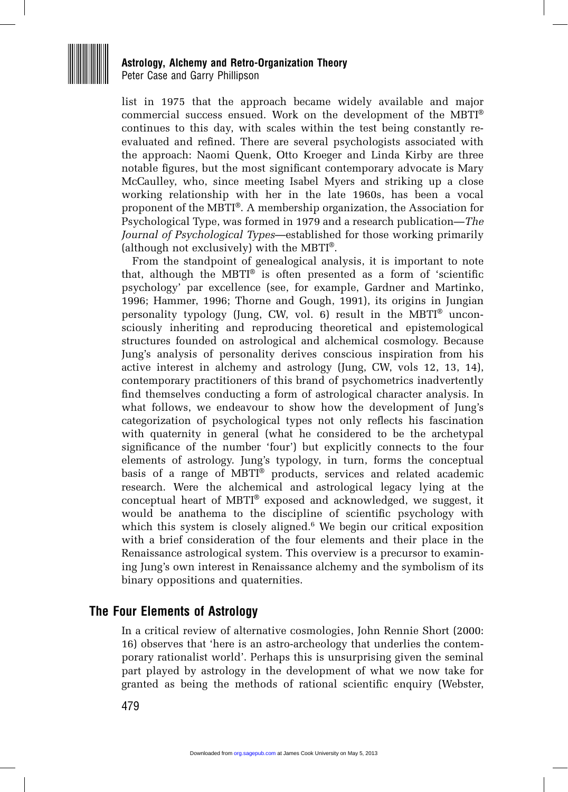

Peter Case and Garry Phillipson

list in 1975 that the approach became widely available and major commercial success ensued. Work on the development of the MBTI® continues to this day, with scales within the test being constantly reevaluated and refined. There are several psychologists associated with the approach: Naomi Quenk, Otto Kroeger and Linda Kirby are three notable figures, but the most significant contemporary advocate is Mary McCaulley, who, since meeting Isabel Myers and striking up a close working relationship with her in the late 1960s, has been a vocal proponent of the MBTI®. A membership organization, the Association for Psychological Type, was formed in 1979 and a research publication—*The Journal of Psychological Types*—established for those working primarily (although not exclusively) with the MBTI®.

From the standpoint of genealogical analysis, it is important to note that, although the MBTI<sup>®</sup> is often presented as a form of 'scientific psychology' par excellence (see, for example, Gardner and Martinko, 1996; Hammer, 1996; Thorne and Gough, 1991), its origins in Jungian personality typology (Jung, CW, vol. 6) result in the MBTI® unconsciously inheriting and reproducing theoretical and epistemological structures founded on astrological and alchemical cosmology. Because Jung's analysis of personality derives conscious inspiration from his active interest in alchemy and astrology (Jung, CW, vols 12, 13, 14), contemporary practitioners of this brand of psychometrics inadvertently find themselves conducting a form of astrological character analysis. In what follows, we endeavour to show how the development of Jung's categorization of psychological types not only reflects his fascination with quaternity in general (what he considered to be the archetypal significance of the number 'four') but explicitly connects to the four elements of astrology. Jung's typology, in turn, forms the conceptual basis of a range of MBTI® products, services and related academic research. Were the alchemical and astrological legacy lying at the conceptual heart of MBTI® exposed and acknowledged, we suggest, it would be anathema to the discipline of scientific psychology with which this system is closely aligned. $6$  We begin our critical exposition with a brief consideration of the four elements and their place in the Renaissance astrological system. This overview is a precursor to examining Jung's own interest in Renaissance alchemy and the symbolism of its binary oppositions and quaternities.

## **The Four Elements of Astrology**

In a critical review of alternative cosmologies, John Rennie Short (2000: 16) observes that 'here is an astro-archeology that underlies the contemporary rationalist world'. Perhaps this is unsurprising given the seminal part played by astrology in the development of what we now take for granted as being the methods of rational scientific enquiry (Webster,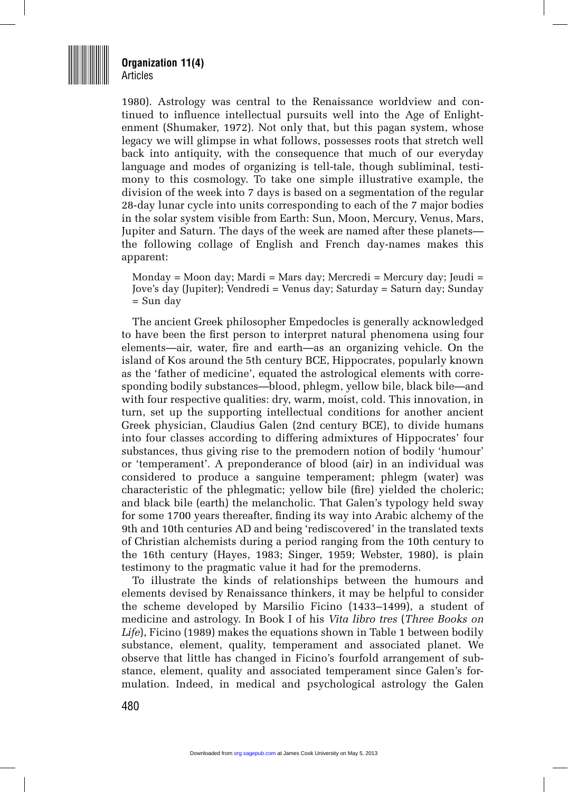

1980). Astrology was central to the Renaissance worldview and continued to influence intellectual pursuits well into the Age of Enlightenment (Shumaker, 1972). Not only that, but this pagan system, whose legacy we will glimpse in what follows, possesses roots that stretch well back into antiquity, with the consequence that much of our everyday language and modes of organizing is tell-tale, though subliminal, testimony to this cosmology. To take one simple illustrative example, the division of the week into 7 days is based on a segmentation of the regular 28-day lunar cycle into units corresponding to each of the 7 major bodies in the solar system visible from Earth: Sun, Moon, Mercury, Venus, Mars, Jupiter and Saturn. The days of the week are named after these planets the following collage of English and French day-names makes this apparent:

Monday = Moon day; Mardi = Mars day; Mercredi = Mercury day; Jeudi = Jove's day (Jupiter); Vendredi = Venus day; Saturday = Saturn day; Sunday = Sun day

The ancient Greek philosopher Empedocles is generally acknowledged to have been the first person to interpret natural phenomena using four elements—air, water, fire and earth—as an organizing vehicle. On the island of Kos around the 5th century BCE, Hippocrates, popularly known as the 'father of medicine', equated the astrological elements with corresponding bodily substances—blood, phlegm, yellow bile, black bile—and with four respective qualities: dry, warm, moist, cold. This innovation, in turn, set up the supporting intellectual conditions for another ancient Greek physician, Claudius Galen (2nd century BCE), to divide humans into four classes according to differing admixtures of Hippocrates' four substances, thus giving rise to the premodern notion of bodily 'humour' or 'temperament'. A preponderance of blood (air) in an individual was considered to produce a sanguine temperament; phlegm (water) was characteristic of the phlegmatic; yellow bile (fire) yielded the choleric; and black bile (earth) the melancholic. That Galen's typology held sway for some 1700 years thereafter, finding its way into Arabic alchemy of the 9th and 10th centuries AD and being 'rediscovered' in the translated texts of Christian alchemists during a period ranging from the 10th century to the 16th century (Hayes, 1983; Singer, 1959; Webster, 1980), is plain testimony to the pragmatic value it had for the premoderns.

To illustrate the kinds of relationships between the humours and elements devised by Renaissance thinkers, it may be helpful to consider the scheme developed by Marsilio Ficino (1433–1499), a student of medicine and astrology. In Book I of his *Vita libro tres* (*Three Books on Life*), Ficino (1989) makes the equations shown in Table 1 between bodily substance, element, quality, temperament and associated planet. We observe that little has changed in Ficino's fourfold arrangement of substance, element, quality and associated temperament since Galen's formulation. Indeed, in medical and psychological astrology the Galen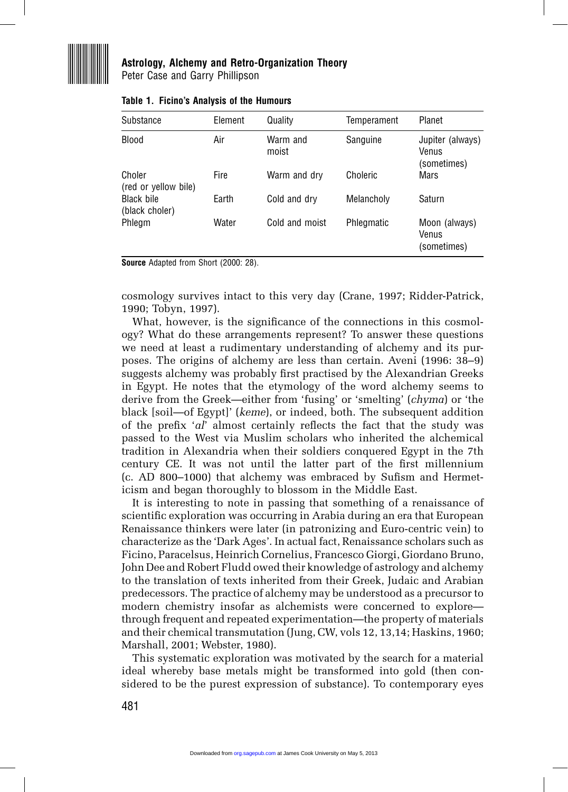

| Substance                      | Element | Quality           | Temperament | Planet                                                  |
|--------------------------------|---------|-------------------|-------------|---------------------------------------------------------|
| <b>Blood</b>                   | Air     | Warm and<br>moist | Sanguine    | Jupiter (always)<br>Venus<br>(sometimes)<br><b>Mars</b> |
| Choler<br>(red or yellow bile) | Fire    | Warm and dry      | Choleric    |                                                         |
| Black bile<br>(black choler)   | Earth   | Cold and dry      | Melancholy  | Saturn                                                  |
| Phlegm                         | Water   | Cold and moist    | Phlegmatic  | Moon (always)<br>Venus<br>(sometimes)                   |

|  |  |  |  |  |  | Table 1. Ficino's Analysis of the Humours |
|--|--|--|--|--|--|-------------------------------------------|
|--|--|--|--|--|--|-------------------------------------------|

**Source** Adapted from Short (2000: 28).

cosmology survives intact to this very day (Crane, 1997; Ridder-Patrick, 1990; Tobyn, 1997).

What, however, is the significance of the connections in this cosmology? What do these arrangements represent? To answer these questions we need at least a rudimentary understanding of alchemy and its purposes. The origins of alchemy are less than certain. Aveni (1996: 38–9) suggests alchemy was probably first practised by the Alexandrian Greeks in Egypt. He notes that the etymology of the word alchemy seems to derive from the Greek—either from 'fusing' or 'smelting' (*chyma*) or 'the black [soil—of Egypt]' (*keme*), or indeed, both. The subsequent addition of the prefix '*al*' almost certainly reflects the fact that the study was passed to the West via Muslim scholars who inherited the alchemical tradition in Alexandria when their soldiers conquered Egypt in the 7th century CE. It was not until the latter part of the first millennium (c. AD 800–1000) that alchemy was embraced by Sufism and Hermeticism and began thoroughly to blossom in the Middle East.

It is interesting to note in passing that something of a renaissance of scientific exploration was occurring in Arabia during an era that European Renaissance thinkers were later (in patronizing and Euro-centric vein) to characterize as the 'Dark Ages'. In actual fact, Renaissance scholars such as Ficino, Paracelsus, Heinrich Cornelius, Francesco Giorgi, Giordano Bruno, John Dee and Robert Fludd owed their knowledge of astrology and alchemy to the translation of texts inherited from their Greek, Judaic and Arabian predecessors. The practice of alchemy may be understood as a precursor to modern chemistry insofar as alchemists were concerned to explore through frequent and repeated experimentation—the property of materials and their chemical transmutation (Jung, CW, vols 12, 13,14; Haskins, 1960; Marshall, 2001; Webster, 1980).

This systematic exploration was motivated by the search for a material ideal whereby base metals might be transformed into gold (then considered to be the purest expression of substance). To contemporary eyes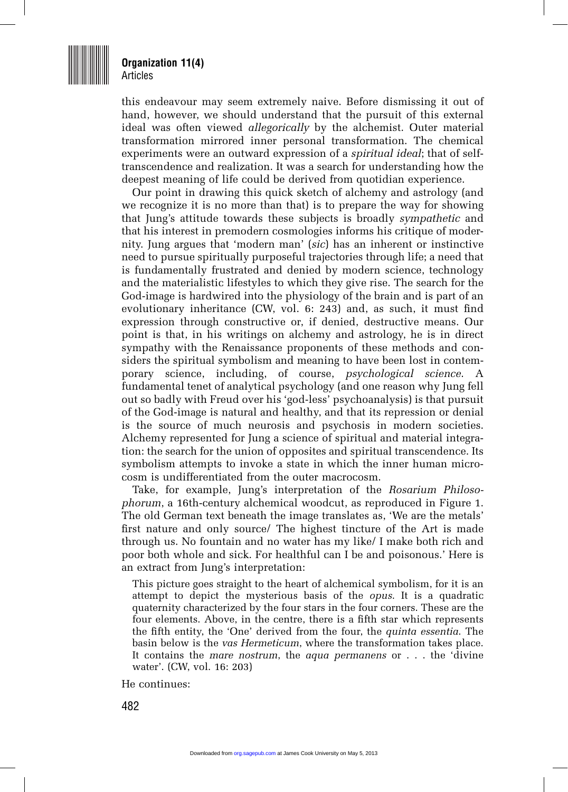

this endeavour may seem extremely naive. Before dismissing it out of hand, however, we should understand that the pursuit of this external ideal was often viewed *allegorically* by the alchemist. Outer material transformation mirrored inner personal transformation. The chemical experiments were an outward expression of a *spiritual ideal*; that of selftranscendence and realization. It was a search for understanding how the deepest meaning of life could be derived from quotidian experience.

Our point in drawing this quick sketch of alchemy and astrology (and we recognize it is no more than that) is to prepare the way for showing that Jung's attitude towards these subjects is broadly *sympathetic* and that his interest in premodern cosmologies informs his critique of modernity. Jung argues that 'modern man' (*sic*) has an inherent or instinctive need to pursue spiritually purposeful trajectories through life; a need that is fundamentally frustrated and denied by modern science, technology and the materialistic lifestyles to which they give rise. The search for the God-image is hardwired into the physiology of the brain and is part of an evolutionary inheritance (CW, vol. 6: 243) and, as such, it must find expression through constructive or, if denied, destructive means. Our point is that, in his writings on alchemy and astrology, he is in direct sympathy with the Renaissance proponents of these methods and considers the spiritual symbolism and meaning to have been lost in contemporary science, including, of course, *psychological science*. A fundamental tenet of analytical psychology (and one reason why Jung fell out so badly with Freud over his 'god-less' psychoanalysis) is that pursuit of the God-image is natural and healthy, and that its repression or denial is the source of much neurosis and psychosis in modern societies. Alchemy represented for Jung a science of spiritual and material integration: the search for the union of opposites and spiritual transcendence. Its symbolism attempts to invoke a state in which the inner human microcosm is undifferentiated from the outer macrocosm.

Take, for example, Jung's interpretation of the *Rosarium Philosophorum*, a 16th-century alchemical woodcut, as reproduced in Figure 1. The old German text beneath the image translates as, 'We are the metals' first nature and only source/ The highest tincture of the Art is made through us. No fountain and no water has my like/ I make both rich and poor both whole and sick. For healthful can I be and poisonous.' Here is an extract from Jung's interpretation:

This picture goes straight to the heart of alchemical symbolism, for it is an attempt to depict the mysterious basis of the *opus*. It is a quadratic quaternity characterized by the four stars in the four corners. These are the four elements. Above, in the centre, there is a fifth star which represents the fifth entity, the 'One' derived from the four, the *quinta essentia*. The basin below is the *vas Hermeticum*, where the transformation takes place. It contains the *mare nostrum*, the *aqua permanens* or . . . the 'divine water'. (CW, vol. 16: 203)

He continues: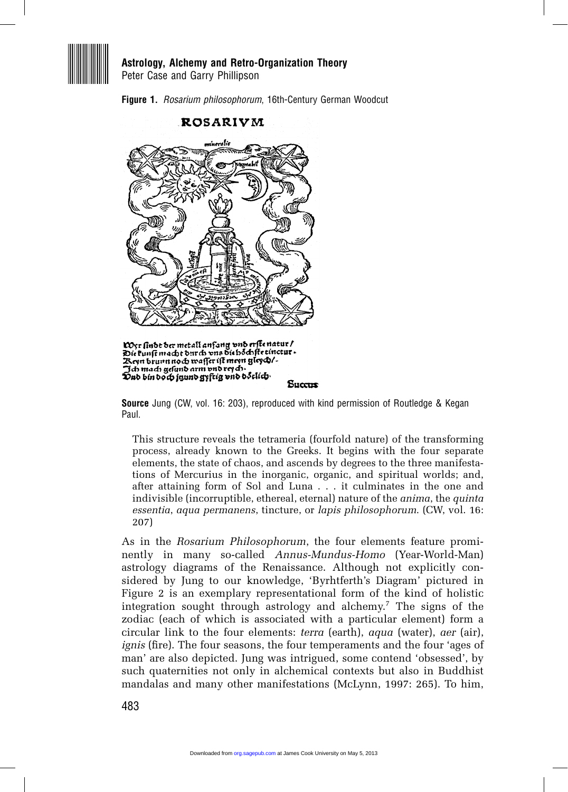

#### **Astrology, Alchemy and Retro-Organization Theory** Peter Case and Garry Phillipson

**Figure 1.** Rosarium philosophorum, 16th-Century German Woodcut

ROSARIVM mineralis toyr findt ber metall anfang und erffenatur/

Die tunft macht burch vns die höchste einceur-Aeon brunn noch waffer ift menn gleych/-Jch mach gelund arm ond rey di-Dub bin bod jauno gyftig vno botlid. Succus

**Source** Jung (CW, vol. 16: 203), reproduced with kind permission of Routledge & Kegan Paul.

This structure reveals the tetrameria (fourfold nature) of the transforming process, already known to the Greeks. It begins with the four separate elements, the state of chaos, and ascends by degrees to the three manifestations of Mercurius in the inorganic, organic, and spiritual worlds; and, after attaining form of Sol and Luna . . . it culminates in the one and indivisible (incorruptible, ethereal, eternal) nature of the *anima*, the *quinta essentia*, *aqua permanens*, tincture, or *lapis philosophorum*. (CW, vol. 16: 207)

As in the *Rosarium Philosophorum*, the four elements feature prominently in many so-called *Annus-Mundus-Homo* (Year-World-Man) astrology diagrams of the Renaissance. Although not explicitly considered by Jung to our knowledge, 'Byrhtferth's Diagram' pictured in Figure 2 is an exemplary representational form of the kind of holistic integration sought through astrology and alchemy.<sup>7</sup> The signs of the zodiac (each of which is associated with a particular element) form a circular link to the four elements: *terra* (earth), *aqua* (water), *aer* (air), *ignis* (fire). The four seasons, the four temperaments and the four 'ages of man' are also depicted. Jung was intrigued, some contend 'obsessed', by such quaternities not only in alchemical contexts but also in Buddhist mandalas and many other manifestations (McLynn, 1997: 265). To him,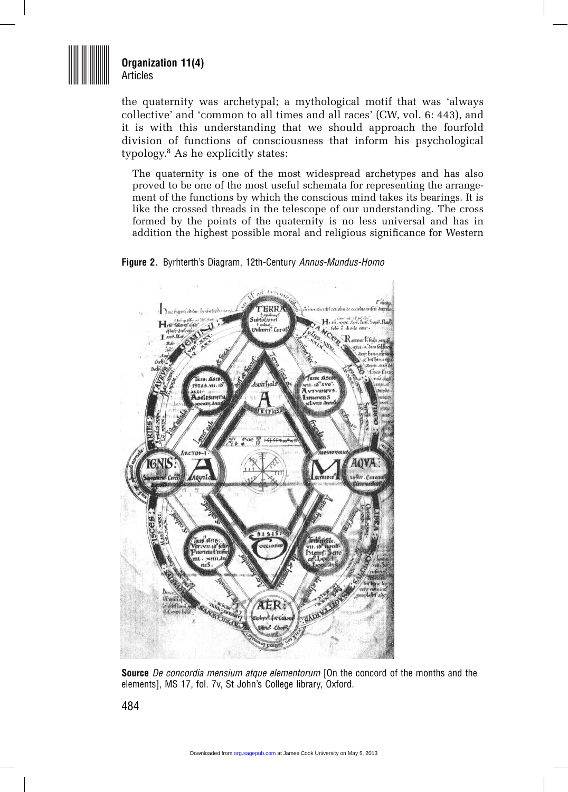

the quaternity was archetypal; a mythological motif that was 'always collective' and 'common to all times and all races' (CW, vol. 6: 443), and it is with this understanding that we should approach the fourfold division of functions of consciousness that inform his psychological typology.8 As he explicitly states:

The quaternity is one of the most widespread archetypes and has also proved to be one of the most useful schemata for representing the arrangement of the functions by which the conscious mind takes its bearings. It is like the crossed threads in the telescope of our understanding. The cross formed by the points of the quaternity is no less universal and has in addition the highest possible moral and religious significance for Western

**Figure 2.** Byrhterth's Diagram, 12th-Century Annus-Mundus-Homo



**Source** De concordia mensium atque elementorum [On the concord of the months and the elements], MS 17, fol. 7v, St John's College library, Oxford.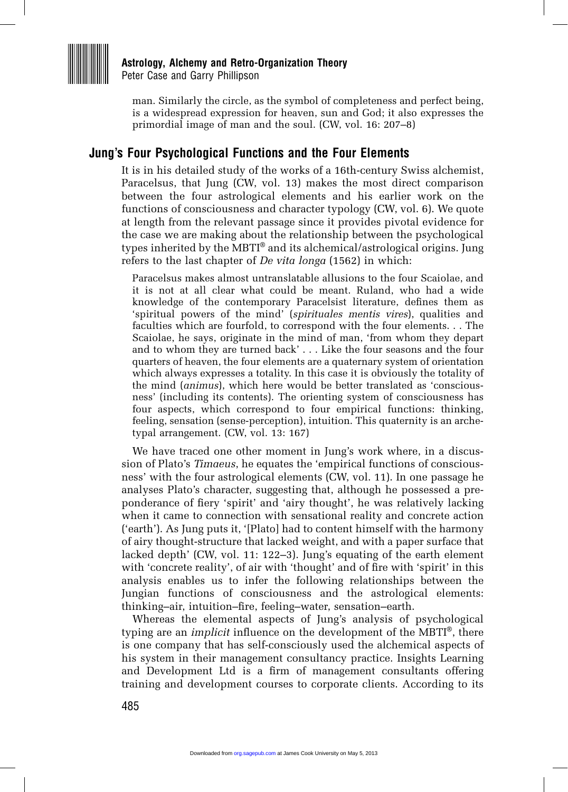

Peter Case and Garry Phillipson

man. Similarly the circle, as the symbol of completeness and perfect being, is a widespread expression for heaven, sun and God; it also expresses the primordial image of man and the soul. (CW, vol. 16: 207–8)

## **Jung's Four Psychological Functions and the Four Elements**

It is in his detailed study of the works of a 16th-century Swiss alchemist, Paracelsus, that Jung (CW, vol. 13) makes the most direct comparison between the four astrological elements and his earlier work on the functions of consciousness and character typology (CW, vol. 6). We quote at length from the relevant passage since it provides pivotal evidence for the case we are making about the relationship between the psychological types inherited by the MBTI® and its alchemical/astrological origins. Jung refers to the last chapter of *De vita longa* (1562) in which:

Paracelsus makes almost untranslatable allusions to the four Scaiolae, and it is not at all clear what could be meant. Ruland, who had a wide knowledge of the contemporary Paracelsist literature, defines them as 'spiritual powers of the mind' (*spirituales mentis vires*), qualities and faculties which are fourfold, to correspond with the four elements. . . The Scaiolae, he says, originate in the mind of man, 'from whom they depart and to whom they are turned back' . . . Like the four seasons and the four quarters of heaven, the four elements are a quaternary system of orientation which always expresses a totality. In this case it is obviously the totality of the mind (*animus*), which here would be better translated as 'consciousness' (including its contents). The orienting system of consciousness has four aspects, which correspond to four empirical functions: thinking, feeling, sensation (sense-perception), intuition. This quaternity is an archetypal arrangement. (CW, vol. 13: 167)

We have traced one other moment in Jung's work where, in a discussion of Plato's *Timaeus*, he equates the 'empirical functions of consciousness' with the four astrological elements (CW, vol. 11). In one passage he analyses Plato's character, suggesting that, although he possessed a preponderance of fiery 'spirit' and 'airy thought', he was relatively lacking when it came to connection with sensational reality and concrete action ('earth'). As Jung puts it, '[Plato] had to content himself with the harmony of airy thought-structure that lacked weight, and with a paper surface that lacked depth' (CW, vol. 11: 122–3). Jung's equating of the earth element with 'concrete reality', of air with 'thought' and of fire with 'spirit' in this analysis enables us to infer the following relationships between the Jungian functions of consciousness and the astrological elements: thinking–air, intuition–fire, feeling–water, sensation–earth.

Whereas the elemental aspects of Jung's analysis of psychological typing are an *implicit* influence on the development of the MBTI®, there is one company that has self-consciously used the alchemical aspects of his system in their management consultancy practice. Insights Learning and Development Ltd is a firm of management consultants offering training and development courses to corporate clients. According to its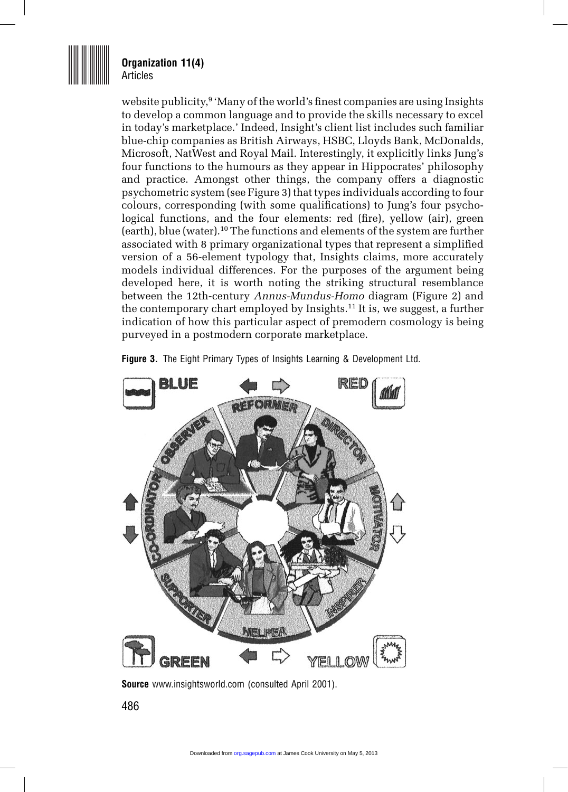

website publicity,<sup>9</sup> 'Many of the world's finest companies are using Insights to develop a common language and to provide the skills necessary to excel in today's marketplace.' Indeed, Insight's client list includes such familiar blue-chip companies as British Airways, HSBC, Lloyds Bank, McDonalds, Microsoft, NatWest and Royal Mail. Interestingly, it explicitly links Jung's four functions to the humours as they appear in Hippocrates' philosophy and practice. Amongst other things, the company offers a diagnostic psychometric system (see Figure 3) that types individuals according to four colours, corresponding (with some qualifications) to Jung's four psychological functions, and the four elements: red (fire), yellow (air), green (earth), blue (water).<sup>10</sup> The functions and elements of the system are further associated with 8 primary organizational types that represent a simplified version of a 56-element typology that, Insights claims, more accurately models individual differences. For the purposes of the argument being developed here, it is worth noting the striking structural resemblance between the 12th-century *Annus-Mundus-Homo* diagram (Figure 2) and the contemporary chart employed by Insights.<sup>11</sup> It is, we suggest, a further indication of how this particular aspect of premodern cosmology is being purveyed in a postmodern corporate marketplace.



**Figure 3.** The Eight Primary Types of Insights Learning & Development Ltd.

**Source** www.insightsworld.com (consulted April 2001).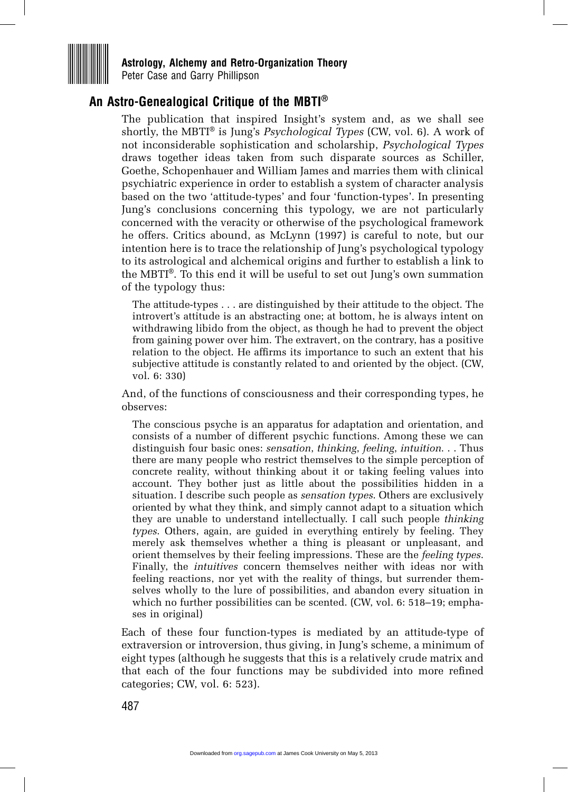

Peter Case and Garry Phillipson

## **An Astro-Genealogical Critique of the MBTI®**

The publication that inspired Insight's system and, as we shall see shortly, the MBTI® is Jung's *Psychological Types* (CW, vol. 6). A work of not inconsiderable sophistication and scholarship, *Psychological Types* draws together ideas taken from such disparate sources as Schiller, Goethe, Schopenhauer and William James and marries them with clinical psychiatric experience in order to establish a system of character analysis based on the two 'attitude-types' and four 'function-types'. In presenting Jung's conclusions concerning this typology, we are not particularly concerned with the veracity or otherwise of the psychological framework he offers. Critics abound, as McLynn (1997) is careful to note, but our intention here is to trace the relationship of Jung's psychological typology to its astrological and alchemical origins and further to establish a link to the MBTI®. To this end it will be useful to set out Jung's own summation of the typology thus:

The attitude-types . . . are distinguished by their attitude to the object. The introvert's attitude is an abstracting one; at bottom, he is always intent on withdrawing libido from the object, as though he had to prevent the object from gaining power over him. The extravert, on the contrary, has a positive relation to the object. He affirms its importance to such an extent that his subjective attitude is constantly related to and oriented by the object. (CW, vol. 6: 330)

And, of the functions of consciousness and their corresponding types, he observes:

The conscious psyche is an apparatus for adaptation and orientation, and consists of a number of different psychic functions. Among these we can distinguish four basic ones: *sensation*, *thinking*, *feeling*, *intuition*. . . Thus there are many people who restrict themselves to the simple perception of concrete reality, without thinking about it or taking feeling values into account. They bother just as little about the possibilities hidden in a situation. I describe such people as *sensation types*. Others are exclusively oriented by what they think, and simply cannot adapt to a situation which they are unable to understand intellectually. I call such people *thinking types*. Others, again, are guided in everything entirely by feeling. They merely ask themselves whether a thing is pleasant or unpleasant, and orient themselves by their feeling impressions. These are the *feeling types*. Finally, the *intuitives* concern themselves neither with ideas nor with feeling reactions, nor yet with the reality of things, but surrender themselves wholly to the lure of possibilities, and abandon every situation in which no further possibilities can be scented. (CW, vol. 6: 518–19; emphases in original)

Each of these four function-types is mediated by an attitude-type of extraversion or introversion, thus giving, in Jung's scheme, a minimum of eight types (although he suggests that this is a relatively crude matrix and that each of the four functions may be subdivided into more refined categories; CW, vol. 6: 523).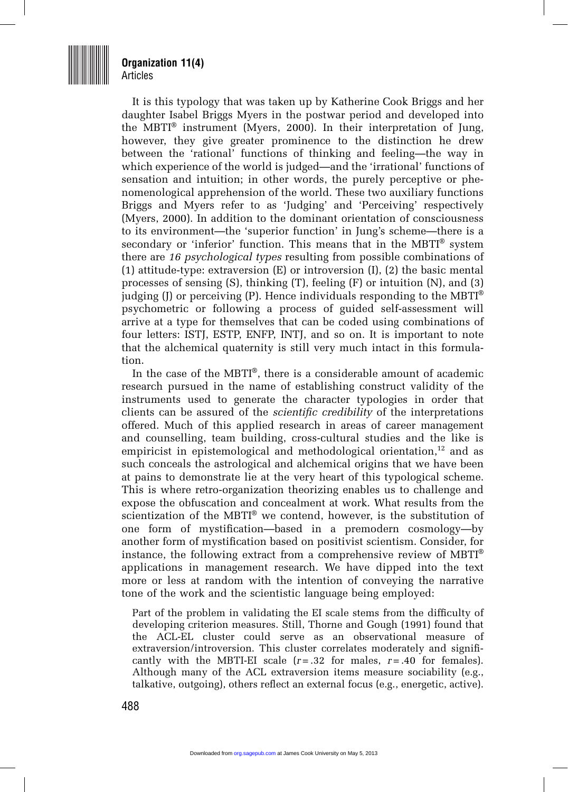

It is this typology that was taken up by Katherine Cook Briggs and her daughter Isabel Briggs Myers in the postwar period and developed into the MBTI® instrument (Myers, 2000). In their interpretation of Jung, however, they give greater prominence to the distinction he drew between the 'rational' functions of thinking and feeling—the way in which experience of the world is judged—and the 'irrational' functions of sensation and intuition; in other words, the purely perceptive or phenomenological apprehension of the world. These two auxiliary functions Briggs and Myers refer to as 'Judging' and 'Perceiving' respectively (Myers, 2000). In addition to the dominant orientation of consciousness to its environment—the 'superior function' in Jung's scheme—there is a secondary or 'inferior' function. This means that in the MBTI® system there are *16 psychological types* resulting from possible combinations of (1) attitude-type: extraversion (E) or introversion (I), (2) the basic mental processes of sensing (S), thinking (T), feeling (F) or intuition (N), and (3) judging  $(J)$  or perceiving  $(P)$ . Hence individuals responding to the MBTI<sup>®</sup> psychometric or following a process of guided self-assessment will arrive at a type for themselves that can be coded using combinations of four letters: ISTJ, ESTP, ENFP, INTJ, and so on. It is important to note that the alchemical quaternity is still very much intact in this formulation.

In the case of the MBTI®, there is a considerable amount of academic research pursued in the name of establishing construct validity of the instruments used to generate the character typologies in order that clients can be assured of the *scientific credibility* of the interpretations offered. Much of this applied research in areas of career management and counselling, team building, cross-cultural studies and the like is empiricist in epistemological and methodological orientation,<sup>12</sup> and as such conceals the astrological and alchemical origins that we have been at pains to demonstrate lie at the very heart of this typological scheme. This is where retro-organization theorizing enables us to challenge and expose the obfuscation and concealment at work. What results from the scientization of the MBTI® we contend, however, is the substitution of one form of mystification—based in a premodern cosmology—by another form of mystification based on positivist scientism. Consider, for instance, the following extract from a comprehensive review of  $MBTI^{\circ}$ applications in management research. We have dipped into the text more or less at random with the intention of conveying the narrative tone of the work and the scientistic language being employed:

Part of the problem in validating the EI scale stems from the difficulty of developing criterion measures. Still, Thorne and Gough (1991) found that the ACL-EL cluster could serve as an observational measure of extraversion/introversion. This cluster correlates moderately and significantly with the MBTI-EI scale  $(r=.32)$  for males,  $r=.40$  for females). Although many of the ACL extraversion items measure sociability (e.g., talkative, outgoing), others reflect an external focus (e.g., energetic, active).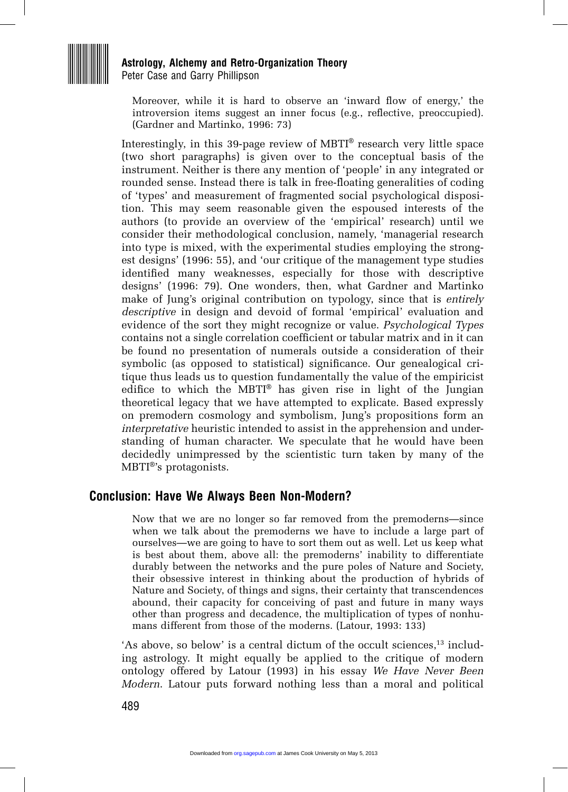

Peter Case and Garry Phillipson

Moreover, while it is hard to observe an 'inward flow of energy,' the introversion items suggest an inner focus (e.g., reflective, preoccupied). (Gardner and Martinko, 1996: 73)

Interestingly, in this 39-page review of MBTI® research very little space (two short paragraphs) is given over to the conceptual basis of the instrument. Neither is there any mention of 'people' in any integrated or rounded sense. Instead there is talk in free-floating generalities of coding of 'types' and measurement of fragmented social psychological disposition. This may seem reasonable given the espoused interests of the authors (to provide an overview of the 'empirical' research) until we consider their methodological conclusion, namely, 'managerial research into type is mixed, with the experimental studies employing the strongest designs' (1996: 55), and 'our critique of the management type studies identified many weaknesses, especially for those with descriptive designs' (1996: 79). One wonders, then, what Gardner and Martinko make of Jung's original contribution on typology, since that is *entirely descriptive* in design and devoid of formal 'empirical' evaluation and evidence of the sort they might recognize or value. *Psychological Types* contains not a single correlation coefficient or tabular matrix and in it can be found no presentation of numerals outside a consideration of their symbolic (as opposed to statistical) significance. Our genealogical critique thus leads us to question fundamentally the value of the empiricist edifice to which the MBTI® has given rise in light of the Jungian theoretical legacy that we have attempted to explicate. Based expressly on premodern cosmology and symbolism, Jung's propositions form an *interpretative* heuristic intended to assist in the apprehension and understanding of human character. We speculate that he would have been decidedly unimpressed by the scientistic turn taken by many of the MBTI®'s protagonists.

## **Conclusion: Have We Always Been Non-Modern?**

Now that we are no longer so far removed from the premoderns—since when we talk about the premoderns we have to include a large part of ourselves—we are going to have to sort them out as well. Let us keep what is best about them, above all: the premoderns' inability to differentiate durably between the networks and the pure poles of Nature and Society, their obsessive interest in thinking about the production of hybrids of Nature and Society, of things and signs, their certainty that transcendences abound, their capacity for conceiving of past and future in many ways other than progress and decadence, the multiplication of types of nonhumans different from those of the moderns. (Latour, 1993: 133)

'As above, so below' is a central dictum of the occult sciences, $^{13}$  including astrology. It might equally be applied to the critique of modern ontology offered by Latour (1993) in his essay *We Have Never Been Modern*. Latour puts forward nothing less than a moral and political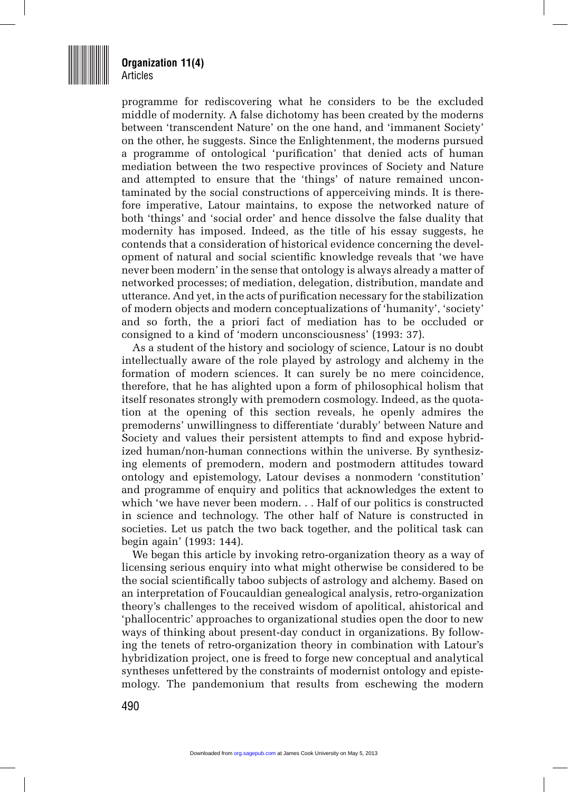

programme for rediscovering what he considers to be the excluded middle of modernity. A false dichotomy has been created by the moderns between 'transcendent Nature' on the one hand, and 'immanent Society' on the other, he suggests. Since the Enlightenment, the moderns pursued a programme of ontological 'purification' that denied acts of human mediation between the two respective provinces of Society and Nature and attempted to ensure that the 'things' of nature remained uncontaminated by the social constructions of apperceiving minds. It is therefore imperative, Latour maintains, to expose the networked nature of both 'things' and 'social order' and hence dissolve the false duality that modernity has imposed. Indeed, as the title of his essay suggests, he contends that a consideration of historical evidence concerning the development of natural and social scientific knowledge reveals that 'we have never been modern' in the sense that ontology is always already a matter of networked processes; of mediation, delegation, distribution, mandate and utterance. And yet, in the acts of purification necessary for the stabilization of modern objects and modern conceptualizations of 'humanity', 'society' and so forth, the a priori fact of mediation has to be occluded or consigned to a kind of 'modern unconsciousness' (1993: 37).

As a student of the history and sociology of science, Latour is no doubt intellectually aware of the role played by astrology and alchemy in the formation of modern sciences. It can surely be no mere coincidence, therefore, that he has alighted upon a form of philosophical holism that itself resonates strongly with premodern cosmology. Indeed, as the quotation at the opening of this section reveals, he openly admires the premoderns' unwillingness to differentiate 'durably' between Nature and Society and values their persistent attempts to find and expose hybridized human/non-human connections within the universe. By synthesizing elements of premodern, modern and postmodern attitudes toward ontology and epistemology, Latour devises a nonmodern 'constitution' and programme of enquiry and politics that acknowledges the extent to which 'we have never been modern. . . Half of our politics is constructed in science and technology. The other half of Nature is constructed in societies. Let us patch the two back together, and the political task can begin again' (1993: 144).

We began this article by invoking retro-organization theory as a way of licensing serious enquiry into what might otherwise be considered to be the social scientifically taboo subjects of astrology and alchemy. Based on an interpretation of Foucauldian genealogical analysis, retro-organization theory's challenges to the received wisdom of apolitical, ahistorical and 'phallocentric' approaches to organizational studies open the door to new ways of thinking about present-day conduct in organizations. By following the tenets of retro-organization theory in combination with Latour's hybridization project, one is freed to forge new conceptual and analytical syntheses unfettered by the constraints of modernist ontology and epistemology. The pandemonium that results from eschewing the modern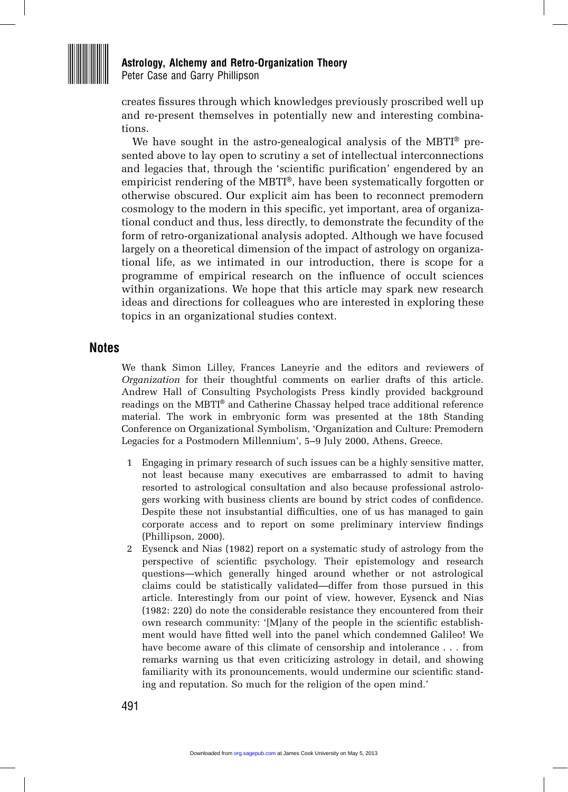

Peter Case and Garry Phillipson

creates fissures through which knowledges previously proscribed well up and re-present themselves in potentially new and interesting combinations.

We have sought in the astro-genealogical analysis of the MBTI<sup>®</sup> presented above to lay open to scrutiny a set of intellectual interconnections and legacies that, through the 'scientific purification' engendered by an empiricist rendering of the MBTI®, have been systematically forgotten or otherwise obscured. Our explicit aim has been to reconnect premodern cosmology to the modern in this specific, yet important, area of organizational conduct and thus, less directly, to demonstrate the fecundity of the form of retro-organizational analysis adopted. Although we have focused largely on a theoretical dimension of the impact of astrology on organizational life, as we intimated in our introduction, there is scope for a programme of empirical research on the influence of occult sciences within organizations. We hope that this article may spark new research ideas and directions for colleagues who are interested in exploring these topics in an organizational studies context.

## **Notes**

We thank Simon Lilley, Frances Laneyrie and the editors and reviewers of *Organization* for their thoughtful comments on earlier drafts of this article. Andrew Hall of Consulting Psychologists Press kindly provided background readings on the MBTI® and Catherine Chassay helped trace additional reference material. The work in embryonic form was presented at the 18th Standing Conference on Organizational Symbolism, 'Organization and Culture: Premodern Legacies for a Postmodern Millennium', 5–9 July 2000, Athens, Greece.

- 1 Engaging in primary research of such issues can be a highly sensitive matter, not least because many executives are embarrassed to admit to having resorted to astrological consultation and also because professional astrologers working with business clients are bound by strict codes of confidence. Despite these not insubstantial difficulties, one of us has managed to gain corporate access and to report on some preliminary interview findings (Phillipson, 2000).
- 2 Eysenck and Nias (1982) report on a systematic study of astrology from the perspective of scientific psychology. Their epistemology and research questions—which generally hinged around whether or not astrological claims could be statistically validated—differ from those pursued in this article. Interestingly from our point of view, however, Eysenck and Nias (1982: 220) do note the considerable resistance they encountered from their own research community: '[M]any of the people in the scientific establishment would have fitted well into the panel which condemned Galileo! We have become aware of this climate of censorship and intolerance . . . from remarks warning us that even criticizing astrology in detail, and showing familiarity with its pronouncements, would undermine our scientific standing and reputation. So much for the religion of the open mind.'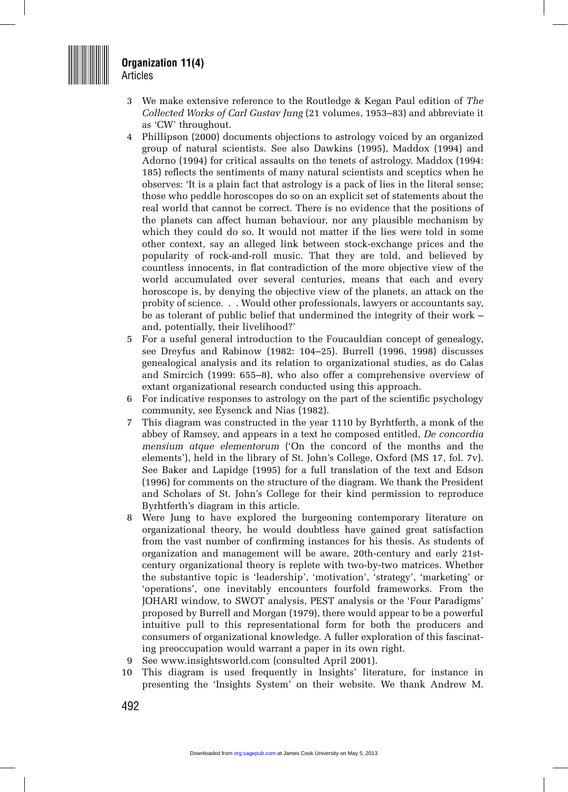

- 3 We make extensive reference to the Routledge & Kegan Paul edition of *The Collected Works of Carl Gustav Jung* (21 volumes, 1953–83) and abbreviate it as 'CW' throughout.
- 4 Phillipson (2000) documents objections to astrology voiced by an organized group of natural scientists. See also Dawkins (1995), Maddox (1994) and Adorno (1994) for critical assaults on the tenets of astrology. Maddox (1994: 185) reflects the sentiments of many natural scientists and sceptics when he observes: 'It is a plain fact that astrology is a pack of lies in the literal sense; those who peddle horoscopes do so on an explicit set of statements about the real world that cannot be correct. There is no evidence that the positions of the planets can affect human behaviour, nor any plausible mechanism by which they could do so. It would not matter if the lies were told in some other context, say an alleged link between stock-exchange prices and the popularity of rock-and-roll music. That they are told, and believed by countless innocents, in flat contradiction of the more objective view of the world accumulated over several centuries, means that each and every horoscope is, by denying the objective view of the planets, an attack on the probity of science. . . Would other professionals, lawyers or accountants say, be as tolerant of public belief that undermined the integrity of their work – and, potentially, their livelihood?'
- 5 For a useful general introduction to the Foucauldian concept of genealogy, see Dreyfus and Rabinow (1982: 104–25). Burrell (1996, 1998) discusses genealogical analysis and its relation to organizational studies, as do Calas and Smircich (1999: 655–8), who also offer a comprehensive overview of extant organizational research conducted using this approach.
- 6 For indicative responses to astrology on the part of the scientific psychology community, see Eysenck and Nias (1982).
- 7 This diagram was constructed in the year 1110 by Byrhtferth, a monk of the abbey of Ramsey, and appears in a text he composed entitled, *De concordia mensium atque elementorum* ('On the concord of the months and the elements'), held in the library of St. John's College, Oxford (MS 17, fol. 7v). See Baker and Lapidge (1995) for a full translation of the text and Edson (1996) for comments on the structure of the diagram. We thank the President and Scholars of St. John's College for their kind permission to reproduce Byrhtferth's diagram in this article.
- 8 Were Jung to have explored the burgeoning contemporary literature on organizational theory, he would doubtless have gained great satisfaction from the vast number of confirming instances for his thesis. As students of organization and management will be aware, 20th-century and early 21stcentury organizational theory is replete with two-by-two matrices. Whether the substantive topic is 'leadership', 'motivation', 'strategy', 'marketing' or 'operations', one inevitably encounters fourfold frameworks. From the JOHARI window, to SWOT analysis, PEST analysis or the 'Four Paradigms' proposed by Burrell and Morgan (1979), there would appear to be a powerful intuitive pull to this representational form for both the producers and consumers of organizational knowledge. A fuller exploration of this fascinating preoccupation would warrant a paper in its own right.
- 9 See www.insightsworld.com (consulted April 2001).
- 10 This diagram is used frequently in Insights' literature, for instance in presenting the 'Insights System' on their website. We thank Andrew M.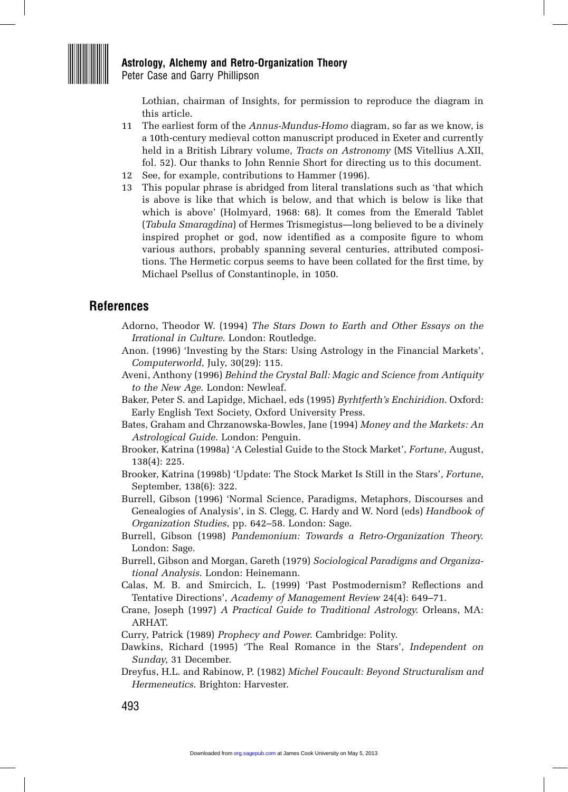

Peter Case and Garry Phillipson

Lothian, chairman of Insights, for permission to reproduce the diagram in this article.

- 11 The earliest form of the *Annus-Mundus-Homo* diagram, so far as we know, is a 10th-century medieval cotton manuscript produced in Exeter and currently held in a British Library volume, *Tracts on Astronomy* (MS Vitellius A.XII, fol. 52). Our thanks to John Rennie Short for directing us to this document.
- 12 See, for example, contributions to Hammer (1996).
- 13 This popular phrase is abridged from literal translations such as 'that which is above is like that which is below, and that which is below is like that which is above' (Holmyard, 1968: 68). It comes from the Emerald Tablet (*Tabula Smaragdina*) of Hermes Trismegistus—long believed to be a divinely inspired prophet or god, now identified as a composite figure to whom various authors, probably spanning several centuries, attributed compositions. The Hermetic corpus seems to have been collated for the first time, by Michael Psellus of Constantinople, in 1050.

## **References**

- Adorno, Theodor W. (1994) *The Stars Down to Earth and Other Essays on the Irrational in Culture*. London: Routledge.
- Anon. (1996) 'Investing by the Stars: Using Astrology in the Financial Markets', *Computerworld*, July, 30(29): 115.
- Aveni, Anthony (1996) *Behind the Crystal Ball: Magic and Science from Antiquity to the New Age*. London: Newleaf.
- Baker, Peter S. and Lapidge, Michael, eds (1995) *Byrhtferth's Enchiridion*. Oxford: Early English Text Society, Oxford University Press.
- Bates, Graham and Chrzanowska-Bowles, Jane (1994) *Money and the Markets: An Astrological Guide*. London: Penguin.
- Brooker, Katrina (1998a) 'A Celestial Guide to the Stock Market', *Fortune*, August, 138(4): 225.
- Brooker, Katrina (1998b) 'Update: The Stock Market Is Still in the Stars', *Fortune*, September, 138(6): 322.
- Burrell, Gibson (1996) 'Normal Science, Paradigms, Metaphors, Discourses and Genealogies of Analysis', in S. Clegg, C. Hardy and W. Nord (eds) *Handbook of Organization Studies*, pp. 642–58. London: Sage.
- Burrell, Gibson (1998) *Pandemonium: Towards a Retro-Organization Theory*. London: Sage.
- Burrell, Gibson and Morgan, Gareth (1979) *Sociological Paradigms and Organizational Analysis*. London: Heinemann.
- Calas, M. B. and Smircich, L. (1999) 'Past Postmodernism? Reflections and Tentative Directions', *Academy of Management Review* 24(4): 649–71.
- Crane, Joseph (1997) *A Practical Guide to Traditional Astrology*. Orleans, MA: ARHAT.

Curry, Patrick (1989) *Prophecy and Power*. Cambridge: Polity.

- Dawkins, Richard (1995) 'The Real Romance in the Stars', *Independent on Sunday*, 31 December.
- Dreyfus, H.L. and Rabinow, P. (1982) *Michel Foucault: Beyond Structuralism and Hermeneutics*. Brighton: Harvester.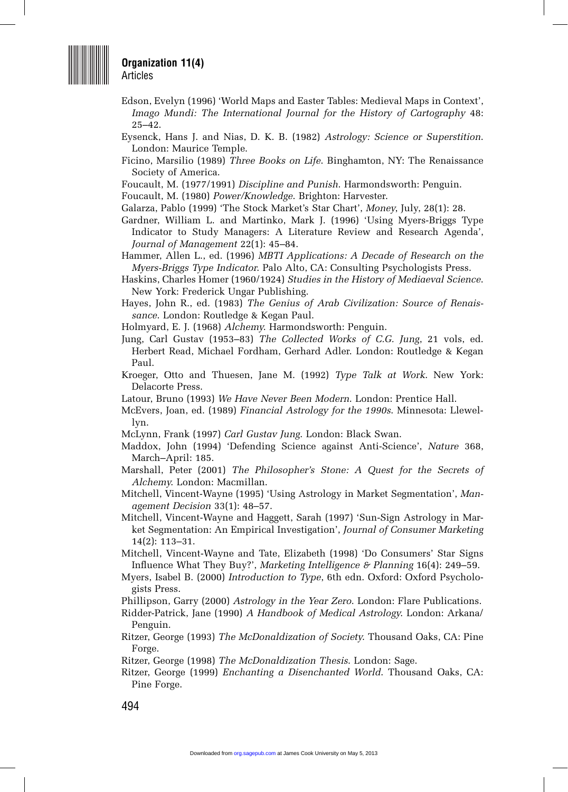

- Edson, Evelyn (1996) 'World Maps and Easter Tables: Medieval Maps in Context', *Imago Mundi: The International Journal for the History of Cartography* 48: 25–42.
- Eysenck, Hans J. and Nias, D. K. B. (1982) *Astrology: Science or Superstition*. London: Maurice Temple.
- Ficino, Marsilio (1989) *Three Books on Life*. Binghamton, NY: The Renaissance Society of America.
- Foucault, M. (1977/1991) *Discipline and Punish*. Harmondsworth: Penguin.
- Foucault, M. (1980) *Power/Knowledge*. Brighton: Harvester.
- Galarza, Pablo (1999) 'The Stock Market's Star Chart', *Money*, July, 28(1): 28.
- Gardner, William L. and Martinko, Mark J. (1996) 'Using Myers-Briggs Type Indicator to Study Managers: A Literature Review and Research Agenda', *Journal of Management* 22(1): 45–84.
- Hammer, Allen L., ed. (1996) *MBTI Applications: A Decade of Research on the Myers-Briggs Type Indicator*. Palo Alto, CA: Consulting Psychologists Press.
- Haskins, Charles Homer (1960/1924) *Studies in the History of Mediaeval Science*. New York: Frederick Ungar Publishing.
- Hayes, John R., ed. (1983) *The Genius of Arab Civilization: Source of Renaissance*. London: Routledge & Kegan Paul.
- Holmyard, E. J. (1968) *Alchemy*. Harmondsworth: Penguin.
- Jung, Carl Gustav (1953–83) *The Collected Works of C.G. Jung*, 21 vols, ed. Herbert Read, Michael Fordham, Gerhard Adler. London: Routledge & Kegan Paul.
- Kroeger, Otto and Thuesen, Jane M. (1992) *Type Talk at Work*. New York: Delacorte Press.
- Latour, Bruno (1993) *We Have Never Been Modern*. London: Prentice Hall.
- McEvers, Joan, ed. (1989) *Financial Astrology for the 1990s*. Minnesota: Llewellyn.
- McLynn, Frank (1997) *Carl Gustav Jung*. London: Black Swan.
- Maddox, John (1994) 'Defending Science against Anti-Science', *Nature* 368, March–April: 185.
- Marshall, Peter (2001) *The Philosopher's Stone: A Quest for the Secrets of Alchemy*. London: Macmillan.
- Mitchell, Vincent-Wayne (1995) 'Using Astrology in Market Segmentation', *Management Decision* 33(1): 48–57.
- Mitchell, Vincent-Wayne and Haggett, Sarah (1997) 'Sun-Sign Astrology in Market Segmentation: An Empirical Investigation', *Journal of Consumer Marketing* 14(2): 113–31.
- Mitchell, Vincent-Wayne and Tate, Elizabeth (1998) 'Do Consumers' Star Signs Influence What They Buy?', *Marketing Intelligence & Planning* 16(4): 249–59.
- Myers, Isabel B. (2000) *Introduction to Type*, 6th edn. Oxford: Oxford Psychologists Press.
- Phillipson, Garry (2000) *Astrology in the Year Zero*. London: Flare Publications.
- Ridder-Patrick, Jane (1990) *A Handbook of Medical Astrology*. London: Arkana/ Penguin.
- Ritzer, George (1993) *The McDonaldization of Society*. Thousand Oaks, CA: Pine Forge.
- Ritzer, George (1998) *The McDonaldization Thesis*. London: Sage.
- Ritzer, George (1999) *Enchanting a Disenchanted World*. Thousand Oaks, CA: Pine Forge.